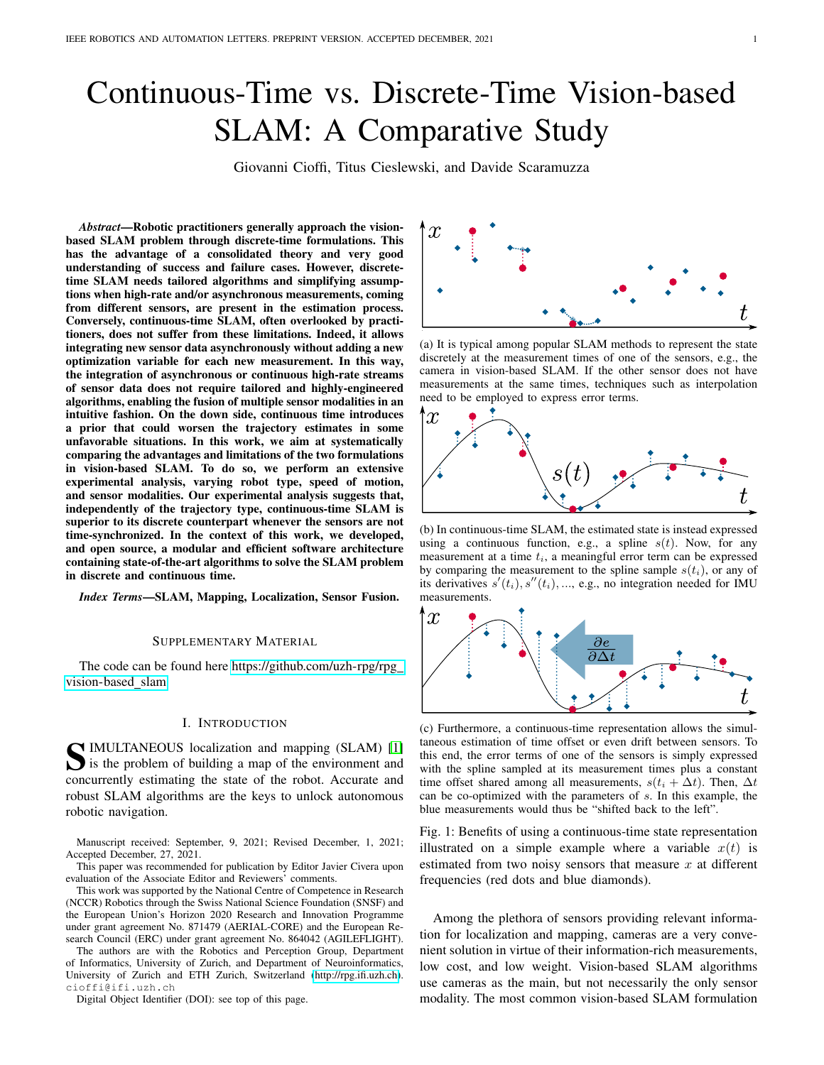# Continuous-Time vs. Discrete-Time Vision-based SLAM: A Comparative Study

Giovanni Cioffi, Titus Cieslewski, and Davide Scaramuzza

*Abstract*—Robotic practitioners generally approach the visionbased SLAM problem through discrete-time formulations. This has the advantage of a consolidated theory and very good understanding of success and failure cases. However, discretetime SLAM needs tailored algorithms and simplifying assumptions when high-rate and/or asynchronous measurements, coming from different sensors, are present in the estimation process. Conversely, continuous-time SLAM, often overlooked by practitioners, does not suffer from these limitations. Indeed, it allows integrating new sensor data asynchronously without adding a new optimization variable for each new measurement. In this way, the integration of asynchronous or continuous high-rate streams of sensor data does not require tailored and highly-engineered algorithms, enabling the fusion of multiple sensor modalities in an intuitive fashion. On the down side, continuous time introduces a prior that could worsen the trajectory estimates in some unfavorable situations. In this work, we aim at systematically comparing the advantages and limitations of the two formulations in vision-based SLAM. To do so, we perform an extensive experimental analysis, varying robot type, speed of motion, and sensor modalities. Our experimental analysis suggests that, independently of the trajectory type, continuous-time SLAM is superior to its discrete counterpart whenever the sensors are not time-synchronized. In the context of this work, we developed, and open source, a modular and efficient software architecture containing state-of-the-art algorithms to solve the SLAM problem in discrete and continuous time.

*Index Terms*—SLAM, Mapping, Localization, Sensor Fusion.

## SUPPLEMENTARY MATERIAL

The code can be found here [https://github.com/uzh-rpg/rpg](https://github.com/uzh-rpg/rpg_vision-based_slam) [vision-based](https://github.com/uzh-rpg/rpg_vision-based_slam) slam

# I. INTRODUCTION

S IMULTANEOUS localization and mapping (SLAM) [\[1\]](#page-7-0)<br>is the problem of building a map of the environment and<br>communicated attention the state of the relation conditions and is the problem of building a map of the environment and concurrently estimating the state of the robot. Accurate and robust SLAM algorithms are the keys to unlock autonomous robotic navigation.

Manuscript received: September, 9, 2021; Revised December, 1, 2021; Accepted December, 27, 2021.

This paper was recommended for publication by Editor Javier Civera upon evaluation of the Associate Editor and Reviewers' comments.

This work was supported by the National Centre of Competence in Research (NCCR) Robotics through the Swiss National Science Foundation (SNSF) and the European Union's Horizon 2020 Research and Innovation Programme under grant agreement No. 871479 (AERIAL-CORE) and the European Research Council (ERC) under grant agreement No. 864042 (AGILEFLIGHT).

The authors are with the Robotics and Perception Group, Department of Informatics, University of Zurich, and Department of Neuroinformatics, University of Zurich and ETH Zurich, Switzerland [\(http://rpg.ifi.uzh.ch\)](http://rpg.ifi.uzh.ch). cioffi@ifi.uzh.ch

Digital Object Identifier (DOI): see top of this page.

<span id="page-0-0"></span>

(a) It is typical among popular SLAM methods to represent the state discretely at the measurement times of one of the sensors, e.g., the camera in vision-based SLAM. If the other sensor does not have measurements at the same times, techniques such as interpolation need to be employed to express error terms.



(b) In continuous-time SLAM, the estimated state is instead expressed using a continuous function, e.g., a spline  $s(t)$ . Now, for any measurement at a time  $t_i$ , a meaningful error term can be expressed by comparing the measurement to the spline sample  $s(t_i)$ , or any of its derivatives  $s'(t_i)$ ,  $s''(t_i)$ , ..., e.g., no integration needed for IMU measurements.



(c) Furthermore, a continuous-time representation allows the simultaneous estimation of time offset or even drift between sensors. To this end, the error terms of one of the sensors is simply expressed with the spline sampled at its measurement times plus a constant time offset shared among all measurements,  $s(t_i + \Delta t)$ . Then,  $\Delta t$ can be co-optimized with the parameters of s. In this example, the blue measurements would thus be "shifted back to the left".

Fig. 1: Benefits of using a continuous-time state representation illustrated on a simple example where a variable  $x(t)$  is estimated from two noisy sensors that measure  $x$  at different frequencies (red dots and blue diamonds).

Among the plethora of sensors providing relevant information for localization and mapping, cameras are a very convenient solution in virtue of their information-rich measurements, low cost, and low weight. Vision-based SLAM algorithms use cameras as the main, but not necessarily the only sensor modality. The most common vision-based SLAM formulation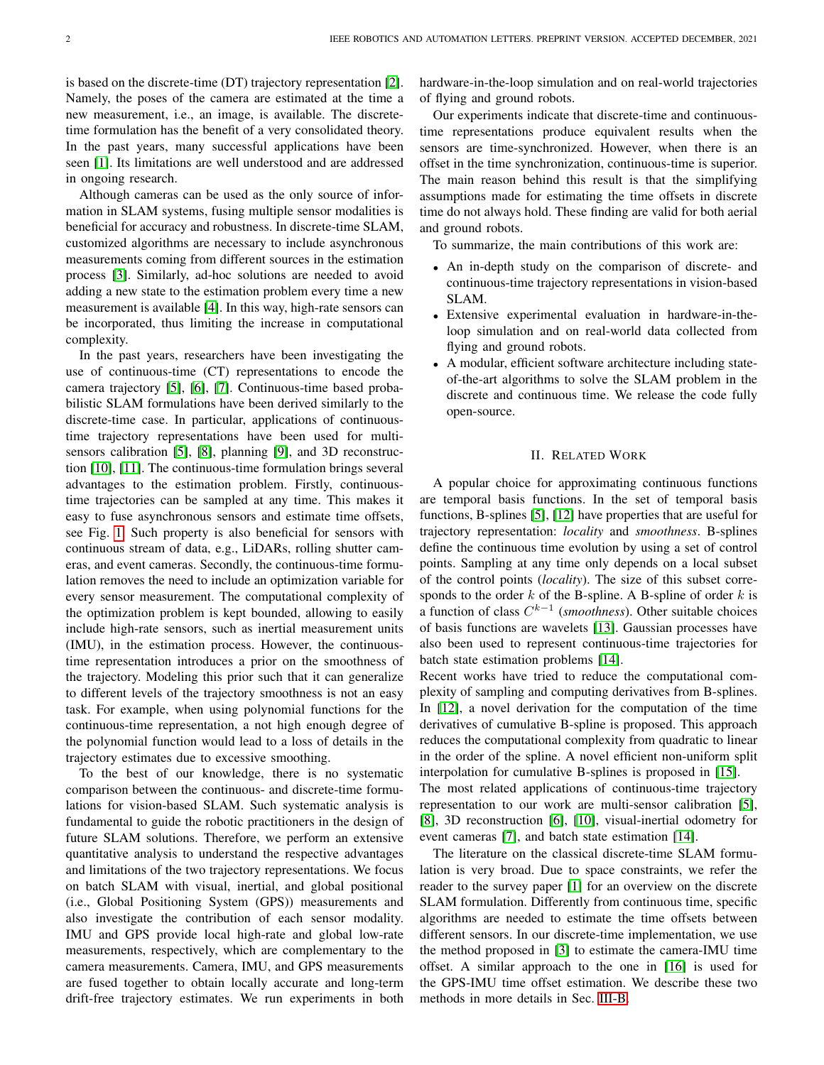is based on the discrete-time (DT) trajectory representation [\[2\]](#page-7-1). Namely, the poses of the camera are estimated at the time a new measurement, i.e., an image, is available. The discretetime formulation has the benefit of a very consolidated theory. In the past years, many successful applications have been seen [\[1\]](#page-7-0). Its limitations are well understood and are addressed in ongoing research.

Although cameras can be used as the only source of information in SLAM systems, fusing multiple sensor modalities is beneficial for accuracy and robustness. In discrete-time SLAM, customized algorithms are necessary to include asynchronous measurements coming from different sources in the estimation process [\[3\]](#page-7-2). Similarly, ad-hoc solutions are needed to avoid adding a new state to the estimation problem every time a new measurement is available [\[4\]](#page-7-3). In this way, high-rate sensors can be incorporated, thus limiting the increase in computational complexity.

In the past years, researchers have been investigating the use of continuous-time (CT) representations to encode the camera trajectory [\[5\]](#page-7-4), [\[6\]](#page-7-5), [\[7\]](#page-7-6). Continuous-time based probabilistic SLAM formulations have been derived similarly to the discrete-time case. In particular, applications of continuoustime trajectory representations have been used for multisensors calibration [\[5\]](#page-7-4), [\[8\]](#page-7-7), planning [\[9\]](#page-7-8), and 3D reconstruction [\[10\]](#page-7-9), [\[11\]](#page-7-10). The continuous-time formulation brings several advantages to the estimation problem. Firstly, continuoustime trajectories can be sampled at any time. This makes it easy to fuse asynchronous sensors and estimate time offsets, see Fig. [1.](#page-0-0) Such property is also beneficial for sensors with continuous stream of data, e.g., LiDARs, rolling shutter cameras, and event cameras. Secondly, the continuous-time formulation removes the need to include an optimization variable for every sensor measurement. The computational complexity of the optimization problem is kept bounded, allowing to easily include high-rate sensors, such as inertial measurement units (IMU), in the estimation process. However, the continuoustime representation introduces a prior on the smoothness of the trajectory. Modeling this prior such that it can generalize to different levels of the trajectory smoothness is not an easy task. For example, when using polynomial functions for the continuous-time representation, a not high enough degree of the polynomial function would lead to a loss of details in the trajectory estimates due to excessive smoothing.

To the best of our knowledge, there is no systematic comparison between the continuous- and discrete-time formulations for vision-based SLAM. Such systematic analysis is fundamental to guide the robotic practitioners in the design of future SLAM solutions. Therefore, we perform an extensive quantitative analysis to understand the respective advantages and limitations of the two trajectory representations. We focus on batch SLAM with visual, inertial, and global positional (i.e., Global Positioning System (GPS)) measurements and also investigate the contribution of each sensor modality. IMU and GPS provide local high-rate and global low-rate measurements, respectively, which are complementary to the camera measurements. Camera, IMU, and GPS measurements are fused together to obtain locally accurate and long-term drift-free trajectory estimates. We run experiments in both hardware-in-the-loop simulation and on real-world trajectories of flying and ground robots.

Our experiments indicate that discrete-time and continuoustime representations produce equivalent results when the sensors are time-synchronized. However, when there is an offset in the time synchronization, continuous-time is superior. The main reason behind this result is that the simplifying assumptions made for estimating the time offsets in discrete time do not always hold. These finding are valid for both aerial and ground robots.

To summarize, the main contributions of this work are:

- An in-depth study on the comparison of discrete- and continuous-time trajectory representations in vision-based SLAM.
- Extensive experimental evaluation in hardware-in-theloop simulation and on real-world data collected from flying and ground robots.
- A modular, efficient software architecture including stateof-the-art algorithms to solve the SLAM problem in the discrete and continuous time. We release the code fully open-source.

# II. RELATED WORK

A popular choice for approximating continuous functions are temporal basis functions. In the set of temporal basis functions, B-splines [\[5\]](#page-7-4), [\[12\]](#page-7-11) have properties that are useful for trajectory representation: *locality* and *smoothness*. B-splines define the continuous time evolution by using a set of control points. Sampling at any time only depends on a local subset of the control points (*locality*). The size of this subset corresponds to the order  $k$  of the B-spline. A B-spline of order  $k$  is a function of class  $C^{k-1}$  (*smoothness*). Other suitable choices of basis functions are wavelets [\[13\]](#page-7-12). Gaussian processes have also been used to represent continuous-time trajectories for batch state estimation problems [\[14\]](#page-7-13).

Recent works have tried to reduce the computational complexity of sampling and computing derivatives from B-splines. In [\[12\]](#page-7-11), a novel derivation for the computation of the time derivatives of cumulative B-spline is proposed. This approach reduces the computational complexity from quadratic to linear in the order of the spline. A novel efficient non-uniform split interpolation for cumulative B-splines is proposed in [\[15\]](#page-7-14).

The most related applications of continuous-time trajectory representation to our work are multi-sensor calibration [\[5\]](#page-7-4), [\[8\]](#page-7-7), 3D reconstruction [\[6\]](#page-7-5), [\[10\]](#page-7-9), visual-inertial odometry for event cameras [\[7\]](#page-7-6), and batch state estimation [\[14\]](#page-7-13).

The literature on the classical discrete-time SLAM formulation is very broad. Due to space constraints, we refer the reader to the survey paper [\[1\]](#page-7-0) for an overview on the discrete SLAM formulation. Differently from continuous time, specific algorithms are needed to estimate the time offsets between different sensors. In our discrete-time implementation, we use the method proposed in [\[3\]](#page-7-2) to estimate the camera-IMU time offset. A similar approach to the one in [\[16\]](#page-7-15) is used for the GPS-IMU time offset estimation. We describe these two methods in more details in Sec. [III-B.](#page-3-0)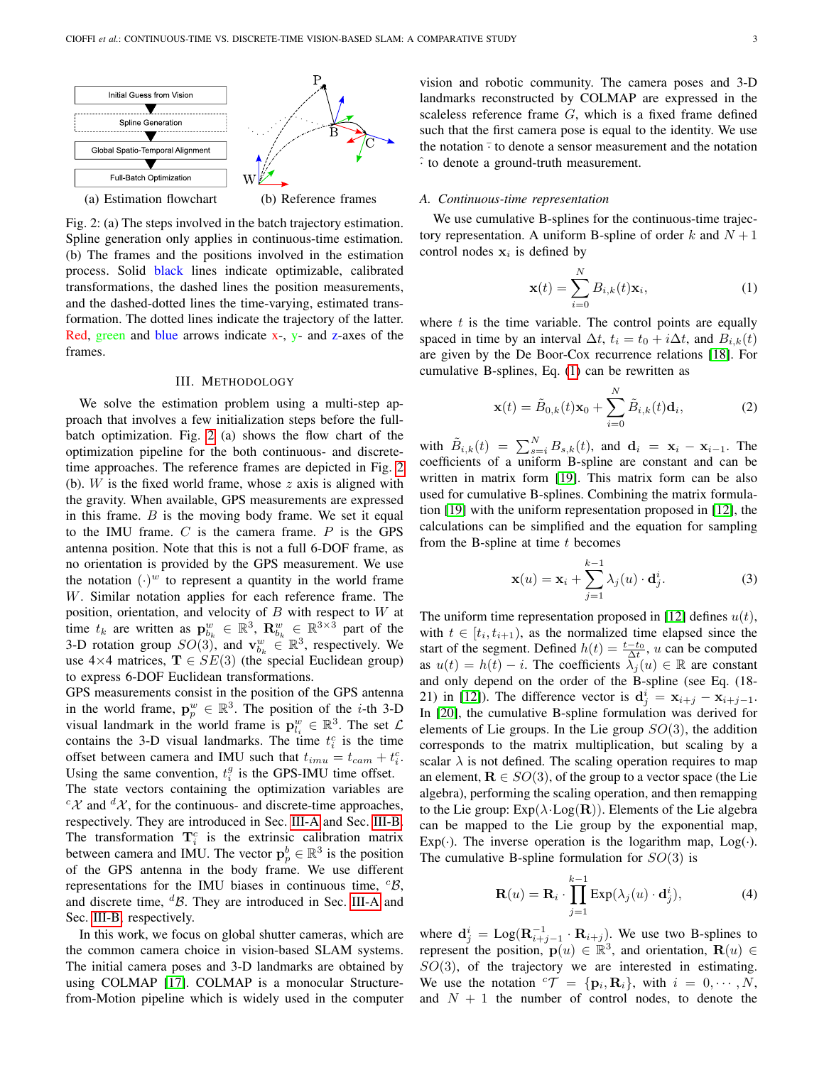<span id="page-2-0"></span>

Fig. 2: (a) The steps involved in the batch trajectory estimation. Spline generation only applies in continuous-time estimation. (b) The frames and the positions involved in the estimation process. Solid black lines indicate optimizable, calibrated transformations, the dashed lines the position measurements, and the dashed-dotted lines the time-varying, estimated transformation. The dotted lines indicate the trajectory of the latter. Red, green and blue arrows indicate  $x -$ ,  $y -$  and z-axes of the frames.

#### III. METHODOLOGY

We solve the estimation problem using a multi-step approach that involves a few initialization steps before the fullbatch optimization. Fig. [2](#page-2-0) (a) shows the flow chart of the optimization pipeline for the both continuous- and discretetime approaches. The reference frames are depicted in Fig. [2](#page-2-0) (b).  $W$  is the fixed world frame, whose  $z$  axis is aligned with the gravity. When available, GPS measurements are expressed in this frame.  $B$  is the moving body frame. We set it equal to the IMU frame.  $C$  is the camera frame.  $P$  is the GPS antenna position. Note that this is not a full 6-DOF frame, as no orientation is provided by the GPS measurement. We use the notation  $(\cdot)^w$  to represent a quantity in the world frame W. Similar notation applies for each reference frame. The position, orientation, and velocity of  $B$  with respect to  $W$  at time  $t_k$  are written as  $\mathbf{p}_{b_k}^w \in \mathbb{R}^3$ ,  $\mathbf{R}_{b_k}^w \in \mathbb{R}^{3 \times 3}$  part of the 3-D rotation group  $SO(3)$ , and  $\mathbf{v}_{b_k}^w \in \mathbb{R}^3$ , respectively. We use  $4\times4$  matrices,  $\mathbf{T} \in SE(3)$  (the special Euclidean group) to express 6-DOF Euclidean transformations.

GPS measurements consist in the position of the GPS antenna in the world frame,  $\mathbf{p}_p^w \in \mathbb{R}^3$ . The position of the *i*-th 3-D visual landmark in the world frame is  $\mathbf{p}_{l_i}^w \in \mathbb{R}^3$ . The set  $\mathcal{L}$ contains the 3-D visual landmarks. The time  $t_i^c$  is the time offset between camera and IMU such that  $t_{imu} = t_{cam} + t_i^c$ . Using the same convention,  $t_i^g$  is the GPS-IMU time offset.

The state vectors containing the optimization variables are  ${}^c\mathcal{X}$  and  ${}^d\mathcal{X}$ , for the continuous- and discrete-time approaches, respectively. They are introduced in Sec. [III-A](#page-2-1) and Sec. [III-B.](#page-3-0) The transformation  $\mathbf{T}_i^c$  is the extrinsic calibration matrix between camera and IMU. The vector  $p_p^b \in \mathbb{R}^3$  is the position of the GPS antenna in the body frame. We use different representations for the IMU biases in continuous time,  ${}^{c}$ B, and discrete time,  ${}^d\mathcal{B}$ . They are introduced in Sec. [III-A](#page-2-1) and Sec. [III-B,](#page-3-0) respectively.

In this work, we focus on global shutter cameras, which are the common camera choice in vision-based SLAM systems. The initial camera poses and 3-D landmarks are obtained by using COLMAP [\[17\]](#page-7-16). COLMAP is a monocular Structurefrom-Motion pipeline which is widely used in the computer

vision and robotic community. The camera poses and 3-D landmarks reconstructed by COLMAP are expressed in the scaleless reference frame  $G$ , which is a fixed frame defined such that the first camera pose is equal to the identity. We use the notation  $\overline{\cdot}$  to denote a sensor measurement and the notation  $\hat{ }$  to denote a ground-truth measurement.

## <span id="page-2-1"></span>*A. Continuous-time representation*

We use cumulative B-splines for the continuous-time trajectory representation. A uniform B-spline of order k and  $N + 1$ control nodes  $x_i$  is defined by

<span id="page-2-2"></span>
$$
\mathbf{x}(t) = \sum_{i=0}^{N} B_{i,k}(t)\mathbf{x}_i,
$$
 (1)

where  $t$  is the time variable. The control points are equally spaced in time by an interval  $\Delta t$ ,  $t_i = t_0 + i\Delta t$ , and  $B_{i,k}(t)$ are given by the De Boor-Cox recurrence relations [\[18\]](#page-7-17). For cumulative B-splines, Eq. [\(1\)](#page-2-2) can be rewritten as

$$
\mathbf{x}(t) = \tilde{B}_{0,k}(t)\mathbf{x}_0 + \sum_{i=0}^{N} \tilde{B}_{i,k}(t)\mathbf{d}_i,
$$
 (2)

with  $\tilde{B}_{i,k}(t) = \sum_{s=i}^{N} B_{s,k}(t)$ , and  $\mathbf{d}_i = \mathbf{x}_i - \mathbf{x}_{i-1}$ . The coefficients of a uniform B-spline are constant and can be written in matrix form [\[19\]](#page-7-18). This matrix form can be also used for cumulative B-splines. Combining the matrix formulation [\[19\]](#page-7-18) with the uniform representation proposed in [\[12\]](#page-7-11), the calculations can be simplified and the equation for sampling from the B-spline at time  $t$  becomes

$$
\mathbf{x}(u) = \mathbf{x}_i + \sum_{j=1}^{k-1} \lambda_j(u) \cdot \mathbf{d}_j^i.
$$
 (3)

The uniform time representation proposed in [\[12\]](#page-7-11) defines  $u(t)$ , with  $t \in [t_i, t_{i+1})$ , as the normalized time elapsed since the start of the segment. Defined  $h(t) = \frac{t-t_0}{\Delta t}$ , u can be computed as  $u(t) = h(t) - i$ . The coefficients  $\overrightarrow{\lambda}_i(u) \in \mathbb{R}$  are constant and only depend on the order of the B-spline (see Eq. (18- 21) in [\[12\]](#page-7-11)). The difference vector is  $\mathbf{d}^i_j = \mathbf{x}_{i+j} - \mathbf{x}_{i+j-1}$ . In [\[20\]](#page-7-19), the cumulative B-spline formulation was derived for elements of Lie groups. In the Lie group  $SO(3)$ , the addition corresponds to the matrix multiplication, but scaling by a scalar  $\lambda$  is not defined. The scaling operation requires to map an element,  $\mathbf{R} \in SO(3)$ , of the group to a vector space (the Lie algebra), performing the scaling operation, and then remapping to the Lie group:  $Exp(\lambda \cdot Log(R))$ . Elements of the Lie algebra can be mapped to the Lie group by the exponential map,  $Exp(\cdot)$ . The inverse operation is the logarithm map,  $Log(\cdot)$ . The cumulative B-spline formulation for  $SO(3)$  is

$$
\mathbf{R}(u) = \mathbf{R}_i \cdot \prod_{j=1}^{k-1} \text{Exp}(\lambda_j(u) \cdot \mathbf{d}_j^i),\tag{4}
$$

where  $\mathbf{d}_{j}^{i} = \text{Log}(\mathbf{R}_{i+j-1}^{-1} \cdot \mathbf{R}_{i+j})$ . We use two B-splines to represent the position,  $\mathbf{p}(u) \in \mathbb{R}^3$ , and orientation,  $\mathbf{R}(u) \in$  $SO(3)$ , of the trajectory we are interested in estimating. We use the notation  ${}^{c}\mathcal{T} = {\mathbf{p}_i, \mathbf{R}_i}$ , with  $i = 0, \cdots, N$ , and  $N + 1$  the number of control nodes, to denote the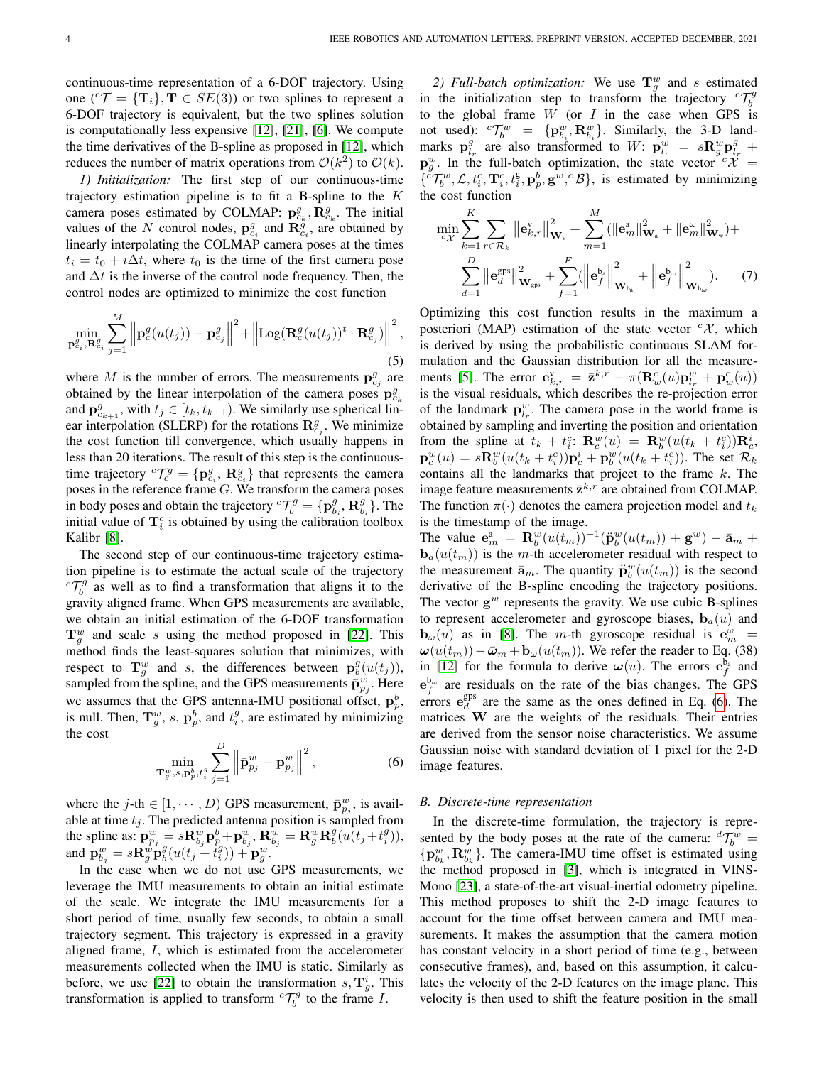continuous-time representation of a 6-DOF trajectory. Using one  $({}^c\mathcal{T} = {\{T_i\}}, T \in SE(3))$  or two splines to represent a 6-DOF trajectory is equivalent, but the two splines solution is computationally less expensive [\[12\]](#page-7-11), [\[21\]](#page-7-20), [\[6\]](#page-7-5). We compute the time derivatives of the B-spline as proposed in [\[12\]](#page-7-11), which reduces the number of matrix operations from  $\mathcal{O}(k^2)$  to  $\mathcal{O}(k)$ .

<span id="page-3-2"></span>*1) Initialization:* The first step of our continuous-time trajectory estimation pipeline is to fit a B-spline to the  $K$ camera poses estimated by COLMAP:  $\mathbf{p}_{c_k}^g$ ,  $\mathbf{R}_{c_k}^g$ . The initial values of the N control nodes,  $\mathbf{p}_{c_i}^g$  and  $\mathbf{R}_{c_i}^{\tilde{g}}$ , are obtained by linearly interpolating the COLMAP camera poses at the times  $t_i = t_0 + i\Delta t$ , where  $t_0$  is the time of the first camera pose and  $\Delta t$  is the inverse of the control node frequency. Then, the control nodes are optimized to minimize the cost function

$$
\min_{\mathbf{p}_{c_i}^g, \mathbf{R}_{c_i}^g} \sum_{j=1}^M \left\| \mathbf{p}_c^g(u(t_j)) - \mathbf{p}_{c_j}^g \right\|^2 + \left\| \text{Log}(\mathbf{R}_c^g(u(t_j))^t \cdot \mathbf{R}_{c_j}^g) \right\|^2, \tag{5}
$$

where M is the number of errors. The measurements  $\mathbf{p}_{c_j}^g$  are obtained by the linear interpolation of the camera poses  $\mathbf{p}_{c_k}^g$ and  $\mathbf{p}_{c_{k+1}}^g$ , with  $t_j \in [t_k, t_{k+1})$ . We similarly use spherical linear interpolation (SLERP) for the rotations  $\mathbf{R}_{c_j}^g$ . We minimize the cost function till convergence, which usually happens in less than 20 iterations. The result of this step is the continuoustime trajectory  ${}^{c}\mathcal{T}^{g}_{c} = \{ \mathbf{p}^{g}_{c_i}, \, \mathbf{R}^{g}_{c_i} \}$  that represents the camera poses in the reference frame G. We transform the camera poses in body poses and obtain the trajectory  ${}^{c} \mathcal{T}_{b}^{g} = {\bf{p}}_{b_i}^{g}, {\bf{R}}_{b_i}^{g}$ . The initial value of  $\mathbf{T}_i^c$  is obtained by using the calibration toolbox Kalibr [\[8\]](#page-7-7).

The second step of our continuous-time trajectory estimation pipeline is to estimate the actual scale of the trajectory  ${}^{c}T_{b}^{g}$  as well as to find a transformation that aligns it to the gravity aligned frame. When GPS measurements are available, we obtain an initial estimation of the 6-DOF transformation  $\mathbf{T}_g^w$  and scale s using the method proposed in [\[22\]](#page-7-21). This method finds the least-squares solution that minimizes, with respect to  $\mathbf{T}_g^w$  and s, the differences between  $\mathbf{p}_b^g(u(t_j))$ , sampled from the spline, and the GPS measurements  $\bar{\mathbf{p}}_{p_j}^w$ . Here we assumes that the GPS antenna-IMU positional offset,  $\mathbf{p}_p^b$ , is null. Then,  $\mathbf{T}_g^w$ , s,  $\mathbf{p}_p^b$ , and  $t_i^g$ , are estimated by minimizing the cost

<span id="page-3-1"></span>
$$
\min_{\mathbf{T}_{g}^{w}, s, \mathbf{p}_{p}^{b}, t_{i}^{g}} \sum_{j=1}^{D} \left\| \bar{\mathbf{p}}_{p_{j}}^{w} - \mathbf{p}_{p_{j}}^{w} \right\|^{2}, \qquad (6)
$$

where the *j*-th  $\in$  [1,  $\dots$ , *D*) GPS measurement,  $\bar{\mathbf{p}}_{p_j}^w$ , is available at time  $t_i$ . The predicted antenna position is sampled from the spline as:  $\mathbf{p}_{p_j}^w = s \mathbf{R}_{b_j}^w \mathbf{p}_p^b + \mathbf{p}_{b_j}^w$ ,  $\mathbf{R}_{b_j}^w = \mathbf{R}_g^w \mathbf{R}_b^g (u(t_j + t_i^g)),$ and  ${\bf p}^w_{b_j} = s {\bf R}^w_g {\bf p}^g_b (u(t_j + t_i^g)) + {\bf p}^w_g.$ 

In the case when we do not use GPS measurements, we leverage the IMU measurements to obtain an initial estimate of the scale. We integrate the IMU measurements for a short period of time, usually few seconds, to obtain a small trajectory segment. This trajectory is expressed in a gravity aligned frame, I, which is estimated from the accelerometer measurements collected when the IMU is static. Similarly as before, we use [\[22\]](#page-7-21) to obtain the transformation  $s, \mathbf{T}_g^i$ . This transformation is applied to transform  ${}^{c} \mathcal{T}_{b}^{g}$  to the frame *I*.

<span id="page-3-3"></span>2) *Full-batch optimization:* We use  $T_g^w$  and s estimated in the initialization step to transform the trajectory  ${}^{c}T_{b}^{g}$ to the global frame  $W$  (or  $I$  in the case when GPS is not used):  ${}^{c}\mathcal{T}_{b}^{w} = {\mathbf{p}_{b_i}^{w}}, \mathbf{R}_{b_i}^{w}$ . Similarly, the 3-D landmarks  $\mathbf{p}_{l_r}^g$  are also transformed to W:  $\mathbf{p}_{l_r}^w = s \mathbf{R}_g^w \mathbf{p}_{l_r}^g +$  $\mathbf{p}_g^w$ . In the full-batch optimization, the state vector  ${}^c\mathcal{X}$  =  $\{\epsilon^c\mathcal{T}_{b}^w, \mathcal{L}, t_i^c, \mathbf{T}_i^c, t_i^g, \mathbf{p}_p^b, \mathbf{g}^w, ^c\mathcal{B}\}\$ , is estimated by minimizing the cost function

<span id="page-3-4"></span>
$$
\min_{c_{\mathcal{X}}} \sum_{k=1}^{K} \sum_{r \in \mathcal{R}_{k}} ||\mathbf{e}_{k,r}^{\mathbf{v}}||_{\mathbf{W}_{\mathbf{v}}}^{2} + \sum_{m=1}^{M} (||\mathbf{e}_{m}^{\mathbf{a}}||_{\mathbf{W}_{\mathbf{a}}}^{2} + ||\mathbf{e}_{m}^{\omega}||_{\mathbf{W}_{\mathbf{w}}}^{2}) +
$$

$$
\sum_{d=1}^{D} ||\mathbf{e}_{d}^{\text{gps}}||_{\mathbf{W}_{\text{gps}}}^{2} + \sum_{f=1}^{F} (||\mathbf{e}_{f}^{\mathbf{b}_{\mathbf{a}}}||_{\mathbf{W}_{\mathbf{b}_{\mathbf{a}}}}^{2} + ||\mathbf{e}_{f}^{\mathbf{b}_{\omega}}||_{\mathbf{W}_{\mathbf{b}_{\omega}}}^{2}). \tag{7}
$$

Optimizing this cost function results in the maximum a posteriori (MAP) estimation of the state vector  ${}^c\mathcal{X}$ , which is derived by using the probabilistic continuous SLAM formulation and the Gaussian distribution for all the measure-ments [\[5\]](#page-7-4). The error  $\mathbf{e}_{k,r}^{\mathbf{v}} = \bar{\mathbf{z}}^{k,r} - \pi(\mathbf{R}_{w}^{c}(u)\mathbf{p}_{l_r}^{w} + \mathbf{p}_{w}^{c}(u))$ is the visual residuals, which describes the re-projection error of the landmark  $\mathbf{p}_{l_r}^w$ . The camera pose in the world frame is obtained by sampling and inverting the position and orientation from the spline at  $t_k + t_i^c$ :  $\mathbf{R}_c^w(u) = \mathbf{R}_b^w(u(t_k + t_i^c))\mathbf{R}_c^i$ ,  ${\bf p}_c^w(u) = s{\bf R}_b^w(u(t_k + t_i^c)){\bf p}_c^i + {\bf p}_b^w(u(t_k + t_i^c))$ . The set  $\mathcal{R}_k$ contains all the landmarks that project to the frame  $k$ . The image feature measurements  $\bar{\mathbf{z}}^{k,r}$  are obtained from COLMAP. The function  $\pi(\cdot)$  denotes the camera projection model and  $t_k$ is the timestamp of the image.

The value  $e_m^a = \mathbf{R}_b^w(u(t_m))^{-1}(\ddot{\mathbf{p}}_b^w(u(t_m)) + \mathbf{g}^w) - \bar{\mathbf{a}}_m +$  **is the** *m***-th accelerometer residual with respect to** the measurement  $\bar{\mathbf{a}}_m$ . The quantity  $\ddot{\mathbf{p}}_b^w(u(t_m))$  is the second derivative of the B-spline encoding the trajectory positions. The vector  $g^w$  represents the gravity. We use cubic B-splines to represent accelerometer and gyroscope biases,  $\mathbf{b}_a(u)$  and  $\mathbf{b}_{\omega}(u)$  as in [\[8\]](#page-7-7). The *m*-th gyroscope residual is  $\mathbf{e}_{m}^{\omega}$  =  $\omega(u(t_m)) - \bar{\omega}_m + \mathbf{b}_{\omega}(u(t_m))$ . We refer the reader to Eq. (38) in [\[12\]](#page-7-11) for the formula to derive  $\boldsymbol{\omega}(u)$ . The errors  $\mathbf{e}_f^{\bar{b}_a}$  and  $e_f^{b_\omega}$  are residuals on the rate of the bias changes. The GPS errors  $e_d^{\text{gps}}$  are the same as the ones defined in Eq. [\(6\)](#page-3-1). The matrices W are the weights of the residuals. Their entries are derived from the sensor noise characteristics. We assume Gaussian noise with standard deviation of 1 pixel for the 2-D image features.

### <span id="page-3-0"></span>*B. Discrete-time representation*

In the discrete-time formulation, the trajectory is represented by the body poses at the rate of the camera:  ${}^d\mathcal{T}_b^w$  =  $\{ {\bf p}^w_{b_k}, {\bf R}^w_{b_k} \}$ . The camera-IMU time offset is estimated using the method proposed in [\[3\]](#page-7-2), which is integrated in VINS-Mono [\[23\]](#page-7-22), a state-of-the-art visual-inertial odometry pipeline. This method proposes to shift the 2-D image features to account for the time offset between camera and IMU measurements. It makes the assumption that the camera motion has constant velocity in a short period of time (e.g., between consecutive frames), and, based on this assumption, it calculates the velocity of the 2-D features on the image plane. This velocity is then used to shift the feature position in the small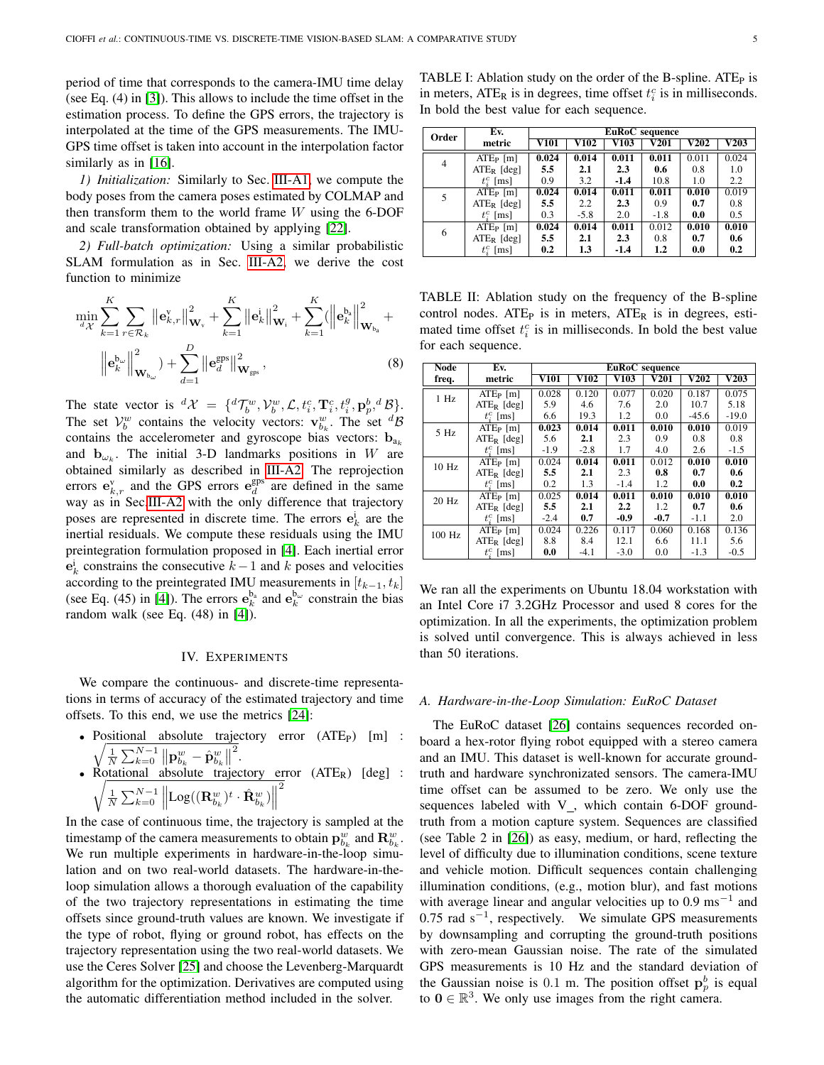period of time that corresponds to the camera-IMU time delay (see Eq. (4) in [\[3\]](#page-7-2)). This allows to include the time offset in the estimation process. To define the GPS errors, the trajectory is interpolated at the time of the GPS measurements. The IMU-GPS time offset is taken into account in the interpolation factor similarly as in [\[16\]](#page-7-15).

*1) Initialization:* Similarly to Sec. [III-A1,](#page-3-2) we compute the body poses from the camera poses estimated by COLMAP and then transform them to the world frame  $W$  using the 6-DOF and scale transformation obtained by applying [\[22\]](#page-7-21).

*2) Full-batch optimization:* Using a similar probabilistic SLAM formulation as in Sec. [III-A2,](#page-3-3) we derive the cost function to minimize

$$
\min_{d\mathcal{X}} \sum_{k=1}^{K} \sum_{r \in \mathcal{R}_k} \left\| \mathbf{e}_{k,r}^{\mathbf{v}} \right\|_{\mathbf{W}_{\mathbf{v}}}^2 + \sum_{k=1}^{K} \left\| \mathbf{e}_k^i \right\|_{\mathbf{W}_i}^2 + \sum_{k=1}^{K} (\left\| \mathbf{e}_k^{\mathbf{b}_\mathbf{a}} \right\|_{\mathbf{W}_{\mathbf{b}_\mathbf{a}}}^2 + \left\| \mathbf{e}_k^{\mathbf{b}_\mathbf{a}} \right\|_{\mathbf{W}_{\mathbf{b}_\mathbf{a}}}^2 + \left\| \mathbf{e}_k^{\mathbf{b}_\mathbf{a}} \right\|_{\mathbf{W}_{\mathbf{b}_\mathbf{a}}}^2 \right\|.
$$
\n(8)

The state vector is  ${}^d\mathcal{X} = \{ {}^d\mathcal{T}_b^w, \mathcal{V}_b^w, \mathcal{L}, t_i^c, \mathbf{T}_i^c, t_i^g, \mathbf{p}_p^b, {}^d\mathcal{B}\}.$ The set  $V_b^w$  contains the velocity vectors:  $\mathbf{v}_{b_k}^w$ . The set  ${}^d\mathcal{B}$ contains the accelerometer and gyroscope bias vectors:  $\mathbf{b}_{a_k}$ and  $\mathbf{b}_{\omega_k}$ . The initial 3-D landmarks positions in W are obtained similarly as described in [III-A2.](#page-3-3) The reprojection errors  $e_{k,r}^v$  and the GPS errors  $e_d^{\text{gps}}$  are defined in the same way as in Sec[.III-A2](#page-3-3) with the only difference that trajectory poses are represented in discrete time. The errors  $e_k^i$  are the inertial residuals. We compute these residuals using the IMU preintegration formulation proposed in [\[4\]](#page-7-3). Each inertial error  $e_k^i$  constrains the consecutive  $k-1$  and k poses and velocities according to the preintegrated IMU measurements in  $[t_{k-1}, t_k]$ (see Eq. (45) in [\[4\]](#page-7-3)). The errors  $e_k^{b_a}$  and  $e_k^{b_\omega}$  constrain the bias random walk (see Eq. (48) in [\[4\]](#page-7-3)).

## IV. EXPERIMENTS

We compare the continuous- and discrete-time representations in terms of accuracy of the estimated trajectory and time offsets. To this end, we use the metrics [\[24\]](#page-7-23):

- Positional absolute trajectory error (ATE  $\frac{1}{2}$ <sup>P</sup>) [m] :  $\frac{1}{N}\sum_{k=0}^{N-1}\left\Vert \mathbf{p}_{b_{k}}^{w}-\hat{\mathbf{p}}_{b_{k}}^{w}\right\Vert$ 2 .
- Rc $\overline{\phantom{a}}$ Rotational absolute trajectory error (ATER) [deg] :  $\frac{1}{N}\sum_{k=0}^{N-1}\left\Vert \text{Log}((\mathbf{R}_{b_{k}}^{w})^{t}\cdot\hat{\mathbf{R}}_{b_{k}}^{w})\right\Vert$ 2

In the case of continuous time, the trajectory is sampled at the timestamp of the camera measurements to obtain  $\mathbf{p}^w_{b_k}$  and  $\mathbf{R}^w_{b_k}$ . We run multiple experiments in hardware-in-the-loop simulation and on two real-world datasets. The hardware-in-theloop simulation allows a thorough evaluation of the capability of the two trajectory representations in estimating the time offsets since ground-truth values are known. We investigate if the type of robot, flying or ground robot, has effects on the trajectory representation using the two real-world datasets. We use the Ceres Solver [\[25\]](#page-7-24) and choose the Levenberg-Marquardt algorithm for the optimization. Derivatives are computed using the automatic differentiation method included in the solver.

<span id="page-4-0"></span>TABLE I: Ablation study on the order of the B-spline.  $ATE<sub>P</sub>$  is in meters,  $ATE_R$  is in degrees, time offset  $t_i^c$  is in milliseconds. In bold the best value for each sequence.

| Order          | Ev.                           | EuRoC sequence |        |        |         |             |       |  |
|----------------|-------------------------------|----------------|--------|--------|---------|-------------|-------|--|
|                | metric                        | V101           | V102   | V103   | V201    | <b>V202</b> | V203  |  |
| $\overline{4}$ | $ATEP$ [m]                    | 0.024          | 0.014  | 0.011  | 0.011   | 0.011       | 0.024 |  |
|                | $ATE_R$ [deg]                 | 5.5            | 2.1    | 2.3    | 0.6     | 0.8         | 1.0   |  |
|                | $t_i^c$ [ms]                  | 0.9            | 3.2    | $-1.4$ | 10.8    | 1.0         | 2.2   |  |
| 5              | $ATEP$ [m]                    | 0.024          | 0.014  | 0.011  | 0.011   | 0.010       | 0.019 |  |
|                | $ATE_R$ [deg]                 | 5.5            | 2.2    | 2.3    | 0.9     | 0.7         | 0.8   |  |
|                | $t_i^c$ [ms]                  | 0.3            | $-5.8$ | 2.0    | $-1.8$  | 0.0         | 0.5   |  |
| 6              | $ATEP$ [m]                    | 0.024          | 0.014  | 0.011  | 0.012   | 0.010       | 0.010 |  |
|                | $ATE_R$ [deg]                 | 5.5            | 2.1    | 2.3    | 0.8     | 0.7         | 0.6   |  |
|                | $t_i^c$<br>$\lceil ms \rceil$ | 0.2            | 1.3    | $-1.4$ | $1.2\,$ | 0.0         | 0.2   |  |

<span id="page-4-1"></span>TABLE II: Ablation study on the frequency of the B-spline control nodes. ATE<sub>P</sub> is in meters, ATE<sub>R</sub> is in degrees, estimated time offset  $t_i^c$  is in milliseconds. In bold the best value for each sequence.

<span id="page-4-2"></span>

| Node     | Ev.           | EuRoC sequence             |             |        |        |         |         |
|----------|---------------|----------------------------|-------------|--------|--------|---------|---------|
| freq.    | metric        | $\overline{\mathbf{V101}}$ | <b>V102</b> | V103   | V201   | V202    | V203    |
| $1$ Hz   | $ATE_{P}$ [m] | 0.028                      | 0.120       | 0.077  | 0.020  | 0.187   | 0.075   |
|          | $ATER$ [deg]  | 5.9                        | 4.6         | 7.6    | 2.0    | 10.7    | 5.18    |
|          | $t_i^c$ [ms]  | 6.6                        | 19.3        | 1.2    | 0.0    | $-45.6$ | $-19.0$ |
| 5 Hz     | $ATE_{P}$ [m] | 0.023                      | 0.014       | 0.011  | 0.010  | 0.010   | 0.019   |
|          | $ATER$ [deg]  | 5.6                        | 2.1         | 2.3    | 0.9    | 0.8     | 0.8     |
|          | $t_i^c$ [ms]  | $-1.9$                     | $-2.8$      | 1.7    | 4.0    | 2.6     | $-1.5$  |
| 10 Hz    | $ATEP$ [m]    | 0.024                      | 0.014       | 0.011  | 0.012  | 0.010   | 0.010   |
|          | $ATER$ [deg]  | 5.5                        | 2.1         | 2.3    | 0.8    | 0.7     | 0.6     |
|          | $t_i^c$ [ms]  | 0.2                        | 1.3         | $-1.4$ | 1.2    | 0.0     | 0.2     |
| 20 Hz    | $ATEP$ [m]    | 0.025                      | 0.014       | 0.011  | 0.010  | 0.010   | 0.010   |
|          | $ATER$ [deg]  | 5.5                        | 2.1         | 2.2    | 1.2    | 0.7     | 0.6     |
|          | $t^c$ [ms]    | $-2.4$                     | 0.7         | $-0.9$ | $-0.7$ | $-1.1$  | 2.0     |
| $100$ Hz | $ATEP$ [m]    | 0.024                      | 0.226       | 0.117  | 0.060  | 0.168   | 0.136   |
|          | $ATE_R$ [deg] | 8.8                        | 8.4         | 12.1   | 6.6    | 11.1    | 5.6     |
|          | $t_i^c$ [ms]  | 0.0                        | $-4.1$      | $-3.0$ | 0.0    | $-1.3$  | $-0.5$  |

We ran all the experiments on Ubuntu 18.04 workstation with an Intel Core i7 3.2GHz Processor and used 8 cores for the optimization. In all the experiments, the optimization problem is solved until convergence. This is always achieved in less than 50 iterations.

# <span id="page-4-3"></span>*A. Hardware-in-the-Loop Simulation: EuRoC Dataset*

The EuRoC dataset [\[26\]](#page-7-25) contains sequences recorded onboard a hex-rotor flying robot equipped with a stereo camera and an IMU. This dataset is well-known for accurate groundtruth and hardware synchronizated sensors. The camera-IMU time offset can be assumed to be zero. We only use the sequences labeled with  $V_$ , which contain 6-DOF groundtruth from a motion capture system. Sequences are classified (see Table 2 in [\[26\]](#page-7-25)) as easy, medium, or hard, reflecting the level of difficulty due to illumination conditions, scene texture and vehicle motion. Difficult sequences contain challenging illumination conditions, (e.g., motion blur), and fast motions with average linear and angular velocities up to  $0.9 \text{ ms}^{-1}$  and 0.75 rad  $s^{-1}$ , respectively. We simulate GPS measurements by downsampling and corrupting the ground-truth positions with zero-mean Gaussian noise. The rate of the simulated GPS measurements is 10 Hz and the standard deviation of the Gaussian noise is 0.1 m. The position offset  $p_p^b$  is equal to  $0 \in \mathbb{R}^3$ . We only use images from the right camera.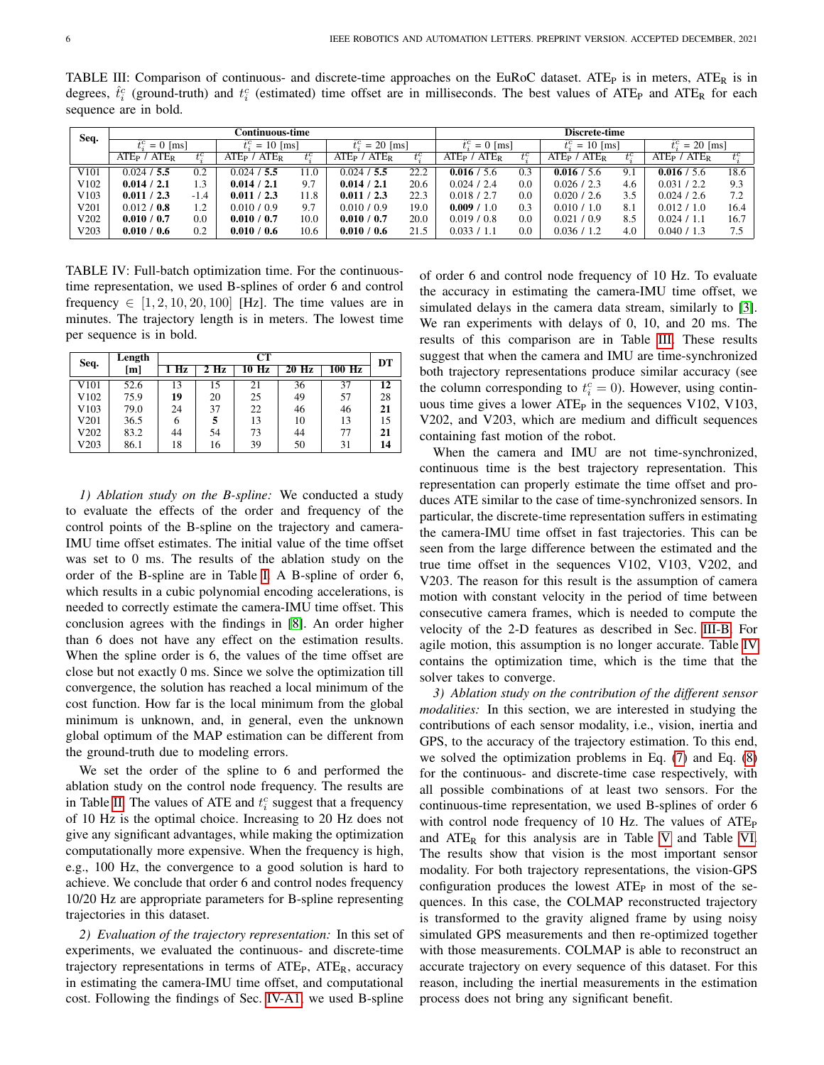<span id="page-5-1"></span>TABLE III: Comparison of continuous- and discrete-time approaches on the EuRoC dataset. ATE<sub>P</sub> is in meters, ATE<sub>R</sub> is in degrees,  $\hat{t}_i^c$  (ground-truth) and  $t_i^c$  (estimated) time offset are in milliseconds. The best values of ATE<sub>P</sub> and ATE<sub>R</sub> for each sequence are in bold.

| Seq.             |                              |         | <b>Continuous-time</b>       |         |                                 |         |                              |         | <b>Discrete-time</b> |       |                                     |       |
|------------------|------------------------------|---------|------------------------------|---------|---------------------------------|---------|------------------------------|---------|----------------------|-------|-------------------------------------|-------|
|                  | $t_c^c = 0$ [ms]             |         | $= 10$ [ms]                  |         | $t^{c} = 20$ [ms]               |         | $t_c^c = 0$ [ms]             |         | $t^{c} = 10$ [ms]    |       | $t_c^c = 20$ [ms]                   |       |
|                  | $ATEP$ /<br>ATE <sub>R</sub> | $t_i^c$ | ATE <sub>R</sub><br>$ATEP$ / | $t^c_i$ | ATE <sub>R</sub><br>$ATE_{P}$ / | $t_i^c$ | ATE <sub>R</sub><br>$ATEP$ / | $t^c_1$ | ATER<br>ATEP /       | $t^c$ | ATE <sub>P</sub> / ATE <sub>R</sub> | $t^c$ |
| V <sub>101</sub> | 0.024 / 5.5                  | 0.2     | 0.024 / 5.5                  | 1.0     | 0.024 / 5.5                     | 22.2    | 0.016 / 5.6                  | 0.3     | 0.016 / 5.6          | 9.1   | 0.016 / 5.6                         | 18.6  |
| V102             | 0.014 / 2.1                  | 1.3     | 0.014 / 2.1                  | 9.7     | 0.014 / 2.1                     | 20.6    | 0.024/2.4                    | 0.0     | 0.026 / 2.3          | 4.6   | 0.031 / 2.2                         | 9.3   |
| V <sub>103</sub> | 0.011 / 2.3                  | $-1.4$  | 0.011 / 2.3                  | 11.8    | 0.011 / 2.3                     | 22.3    | 0.018 / 2.7                  | 0.0     | 0.020 / 2.6          | 3.5   | 0.024 / 2.6                         | 7.2   |
| V201             | 0.012 / 0.8                  | 1.2     | 0.010 / 0.9                  | 9.7     | 0.010 / 0.9                     | 19.0    | 0.009 / 1.0                  | 0.3     | 0.010 / 1.0          | 8.1   | 0.012 / 1.0                         | 16.4  |
| V202             | 0.010 / 0.7                  | 0.0     | 0.010 / 0.7                  | 10.0    | 0.010 / 0.7                     | 20.0    | 0.019 / 0.8                  | $0.0\,$ | 0.021 / 0.9          | 8.5   | 0.024 / 1.1                         | 16.7  |
| V203             | 0.010 / 0.6                  | 0.2     | 0.010 / 0.6                  | 10.6    | 0.010 / 0.6                     | 21.5    | 0.033 / 1.1                  | $0.0\,$ | 0.036 / 1.2          | 4.0   | 0.040 / 1.3                         | 7.5   |

<span id="page-5-2"></span>TABLE IV: Full-batch optimization time. For the continuoustime representation, we used B-splines of order 6 and control frequency  $\in [1, 2, 10, 20, 100]$  [Hz]. The time values are in minutes. The trajectory length is in meters. The lowest time per sequence is in bold.

| Seq.             | Length |    |        | CТ    |       |        | DT |
|------------------|--------|----|--------|-------|-------|--------|----|
|                  | [m]    | Hz | $2$ Hz | 10 Hz | 20 Hz | 100 Hz |    |
| V <sub>101</sub> | 52.6   | 13 | 15     | 21    | 36    | 37     | 12 |
| V <sub>102</sub> | 75.9   | 19 | 20     | 25    | 49    | 57     | 28 |
| V <sub>103</sub> | 79.0   | 24 | 37     | 22    | 46    | 46     | 21 |
| V201             | 36.5   | 6  |        | 13    | 10    | 13     | 15 |
| V202             | 83.2   | 44 | 54     | 73    | 44    | 77     | 21 |
| V203             | 86.1   | 18 | 16     | 39    | 50    | 31     | 14 |

<span id="page-5-0"></span>*1) Ablation study on the B-spline:* We conducted a study to evaluate the effects of the order and frequency of the control points of the B-spline on the trajectory and camera-IMU time offset estimates. The initial value of the time offset was set to 0 ms. The results of the ablation study on the order of the B-spline are in Table [I.](#page-4-0) A B-spline of order 6, which results in a cubic polynomial encoding accelerations, is needed to correctly estimate the camera-IMU time offset. This conclusion agrees with the findings in [\[8\]](#page-7-7). An order higher than 6 does not have any effect on the estimation results. When the spline order is 6, the values of the time offset are close but not exactly 0 ms. Since we solve the optimization till convergence, the solution has reached a local minimum of the cost function. How far is the local minimum from the global minimum is unknown, and, in general, even the unknown global optimum of the MAP estimation can be different from the ground-truth due to modeling errors.

We set the order of the spline to 6 and performed the ablation study on the control node frequency. The results are in Table [II.](#page-4-1) The values of ATE and  $t_i^c$  suggest that a frequency of 10 Hz is the optimal choice. Increasing to 20 Hz does not give any significant advantages, while making the optimization computationally more expensive. When the frequency is high, e.g., 100 Hz, the convergence to a good solution is hard to achieve. We conclude that order 6 and control nodes frequency 10/20 Hz are appropriate parameters for B-spline representing trajectories in this dataset.

*2) Evaluation of the trajectory representation:* In this set of experiments, we evaluated the continuous- and discrete-time trajectory representations in terms of  $ATE<sub>P</sub>$ ,  $ATE<sub>R</sub>$ , accuracy in estimating the camera-IMU time offset, and computational cost. Following the findings of Sec. [IV-A1,](#page-5-0) we used B-spline of order 6 and control node frequency of 10 Hz. To evaluate the accuracy in estimating the camera-IMU time offset, we simulated delays in the camera data stream, similarly to [\[3\]](#page-7-2). We ran experiments with delays of 0, 10, and 20 ms. The results of this comparison are in Table [III.](#page-5-1) These results suggest that when the camera and IMU are time-synchronized both trajectory representations produce similar accuracy (see the column corresponding to  $t_i^c = 0$ ). However, using continuous time gives a lower  $ATE<sub>P</sub>$  in the sequences V102, V103, V202, and V203, which are medium and difficult sequences containing fast motion of the robot.

When the camera and IMU are not time-synchronized, continuous time is the best trajectory representation. This representation can properly estimate the time offset and produces ATE similar to the case of time-synchronized sensors. In particular, the discrete-time representation suffers in estimating the camera-IMU time offset in fast trajectories. This can be seen from the large difference between the estimated and the true time offset in the sequences V102, V103, V202, and V203. The reason for this result is the assumption of camera motion with constant velocity in the period of time between consecutive camera frames, which is needed to compute the velocity of the 2-D features as described in Sec. [III-B.](#page-3-0) For agile motion, this assumption is no longer accurate. Table [IV](#page-5-2) contains the optimization time, which is the time that the solver takes to converge.

*3) Ablation study on the contribution of the different sensor modalities:* In this section, we are interested in studying the contributions of each sensor modality, i.e., vision, inertia and GPS, to the accuracy of the trajectory estimation. To this end, we solved the optimization problems in Eq. [\(7\)](#page-3-4) and Eq. [\(8\)](#page-4-2) for the continuous- and discrete-time case respectively, with all possible combinations of at least two sensors. For the continuous-time representation, we used B-splines of order 6 with control node frequency of 10 Hz. The values of  $ATE<sub>P</sub>$ and  $ATE<sub>R</sub>$  for this analysis are in Table [V](#page-6-0) and Table [VI.](#page-6-1) The results show that vision is the most important sensor modality. For both trajectory representations, the vision-GPS configuration produces the lowest  $ATE<sub>P</sub>$  in most of the sequences. In this case, the COLMAP reconstructed trajectory is transformed to the gravity aligned frame by using noisy simulated GPS measurements and then re-optimized together with those measurements. COLMAP is able to reconstruct an accurate trajectory on every sequence of this dataset. For this reason, including the inertial measurements in the estimation process does not bring any significant benefit.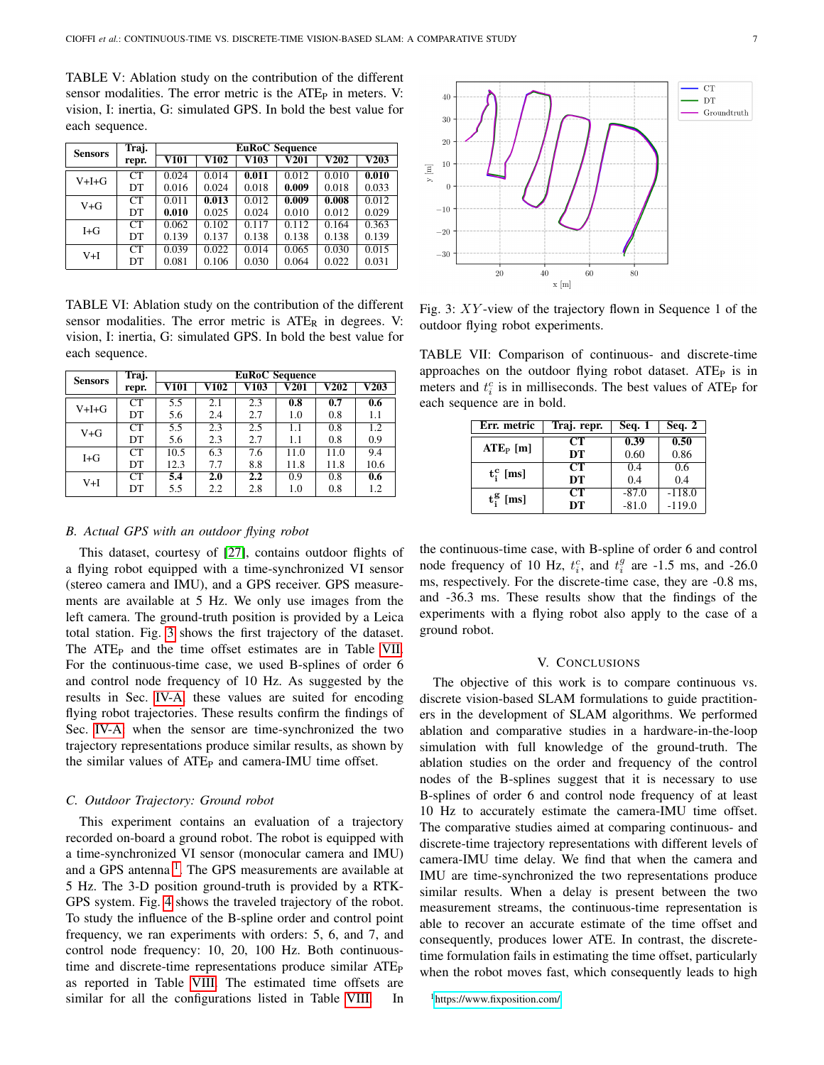<span id="page-6-0"></span>TABLE V: Ablation study on the contribution of the different sensor modalities. The error metric is the  $ATE<sub>P</sub>$  in meters. V: vision, I: inertia, G: simulated GPS. In bold the best value for each sequence.

| <b>Sensors</b> | Traj. | <b>EuRoC</b> Sequence      |                          |                            |       |                          |                          |  |  |
|----------------|-------|----------------------------|--------------------------|----------------------------|-------|--------------------------|--------------------------|--|--|
|                | repr. | $\overline{\mathbf{V101}}$ | $\overline{\text{V}102}$ | $\overline{\mathbf{V103}}$ | V201  | $\overline{\text{V}202}$ | $\overline{\text{V203}}$ |  |  |
| $V+I+G$        | CT    | 0.024                      | 0.014                    | 0.011                      | 0.012 | 0.010                    | 0.010                    |  |  |
|                | DT    | 0.016                      | 0.024                    | 0.018                      | 0.009 | 0.018                    | 0.033                    |  |  |
| $V + G$        | CT    | 0.011                      | 0.013                    | 0.012                      | 0.009 | 0.008                    | 0.012                    |  |  |
|                | DT    | 0.010                      | 0.025                    | 0.024                      | 0.010 | 0.012                    | 0.029                    |  |  |
| $I + G$        | CT    | 0.062                      | 0.102                    | 0.117                      | 0.112 | 0.164                    | 0.363                    |  |  |
|                | DT    | 0.139                      | 0.137                    | 0.138                      | 0.138 | 0.138                    | 0.139                    |  |  |
| $V+I$          | CT    | 0.039                      | 0.022                    | 0.014                      | 0.065 | 0.030                    | 0.015                    |  |  |
|                | DT    | 0.081                      | 0.106                    | 0.030                      | 0.064 | 0.022                    | 0.031                    |  |  |

<span id="page-6-1"></span>TABLE VI: Ablation study on the contribution of the different sensor modalities. The error metric is  $ATE<sub>R</sub>$  in degrees. V: vision, I: inertia, G: simulated GPS. In bold the best value for each sequence.

| <b>Sensors</b> | Traj.           | <b>EuRoC</b> Sequence |                            |                            |      |             |                          |  |  |
|----------------|-----------------|-----------------------|----------------------------|----------------------------|------|-------------|--------------------------|--|--|
|                | repr.           | V101                  | $\overline{\mathbf{V102}}$ | $\overline{\mathbf{V103}}$ | V201 | <b>V202</b> | $\overline{\text{V}203}$ |  |  |
| $V+H+G$        | CT <sup>-</sup> | 5.5                   | 2.1                        | 2.3                        | 0.8  | 0.7         | 0.6                      |  |  |
|                | DT              | 5.6                   | 2.4                        | 2.7                        | 1.0  | 0.8         | 1.1                      |  |  |
| $V + G$        | CT              | 5.5                   | 2.3                        | 2.5                        | 1.1  | 0.8         | 1.2                      |  |  |
|                | DT              | 5.6                   | 2.3                        | 2.7                        | 1.1  | 0.8         | 0.9                      |  |  |
| $I + G$        | CT <sup>-</sup> | 10.5                  | 6.3                        | 7.6                        | 11.0 | 11.0        | 9.4                      |  |  |
|                | DT              | 12.3                  | 7.7                        | 8.8                        | 11.8 | 11.8        | 10.6                     |  |  |
| $V+I$          | CT <sup>-</sup> | 5.4                   | 2.0                        | $2.2\phantom{0}$           | 0.9  | 0.8         | 0.6                      |  |  |
|                | DT              | 5.5                   | 2.2                        | 2.8                        | 1.0  | 0.8         | 1.2                      |  |  |

# *B. Actual GPS with an outdoor flying robot*

This dataset, courtesy of [\[27\]](#page-7-26), contains outdoor flights of a flying robot equipped with a time-synchronized VI sensor (stereo camera and IMU), and a GPS receiver. GPS measurements are available at 5 Hz. We only use images from the left camera. The ground-truth position is provided by a Leica total station. Fig. [3](#page-6-2) shows the first trajectory of the dataset. The ATE<sub>P</sub> and the time offset estimates are in Table [VII.](#page-6-3) For the continuous-time case, we used B-splines of order 6 and control node frequency of 10 Hz. As suggested by the results in Sec. [IV-A,](#page-4-3) these values are suited for encoding flying robot trajectories. These results confirm the findings of Sec. [IV-A:](#page-4-3) when the sensor are time-synchronized the two trajectory representations produce similar results, as shown by the similar values of ATE<sub>P</sub> and camera-IMU time offset.

#### *C. Outdoor Trajectory: Ground robot*

This experiment contains an evaluation of a trajectory recorded on-board a ground robot. The robot is equipped with a time-synchronized VI sensor (monocular camera and IMU) and a GPS antenna<sup>[1](#page-6-4)</sup>. The GPS measurements are available at 5 Hz. The 3-D position ground-truth is provided by a RTK-GPS system. Fig. [4](#page-7-27) shows the traveled trajectory of the robot. To study the influence of the B-spline order and control point frequency, we ran experiments with orders: 5, 6, and 7, and control node frequency: 10, 20, 100 Hz. Both continuoustime and discrete-time representations produce similar ATE<sub>P</sub> as reported in Table [VIII.](#page-7-28) The estimated time offsets are similar for all the configurations listed in Table [VIII.](#page-7-28) In

<span id="page-6-2"></span>

Fig. 3: XY -view of the trajectory flown in Sequence 1 of the outdoor flying robot experiments.

<span id="page-6-3"></span>TABLE VII: Comparison of continuous- and discrete-time approaches on the outdoor flying robot dataset. ATE<sub>P</sub> is in meters and  $t_i^c$  is in milliseconds. The best values of ATE<sub>P</sub> for each sequence are in bold.

| Err. metric  | Traj. repr. | <b>Seq. 1</b> | Seq. $2$ |
|--------------|-------------|---------------|----------|
| $ATEP$ [m]   | CТ          | 0.39          | 0.50     |
|              | DT          | 0.60          | 0.86     |
| $t_i^c$ [ms] | CТ          | 0.4           | 0.6      |
|              | DT          | 0.4           | 0.4      |
| $t_i^g$ [ms] | CТ          | $-87.0$       | $-118.0$ |
|              | DT          | $-81.0$       | $-119.0$ |

the continuous-time case, with B-spline of order 6 and control node frequency of 10 Hz,  $t_i^c$ , and  $t_i^g$  are -1.5 ms, and -26.0 ms, respectively. For the discrete-time case, they are -0.8 ms, and -36.3 ms. These results show that the findings of the experiments with a flying robot also apply to the case of a ground robot.

#### V. CONCLUSIONS

The objective of this work is to compare continuous vs. discrete vision-based SLAM formulations to guide practitioners in the development of SLAM algorithms. We performed ablation and comparative studies in a hardware-in-the-loop simulation with full knowledge of the ground-truth. The ablation studies on the order and frequency of the control nodes of the B-splines suggest that it is necessary to use B-splines of order 6 and control node frequency of at least 10 Hz to accurately estimate the camera-IMU time offset. The comparative studies aimed at comparing continuous- and discrete-time trajectory representations with different levels of camera-IMU time delay. We find that when the camera and IMU are time-synchronized the two representations produce similar results. When a delay is present between the two measurement streams, the continuous-time representation is able to recover an accurate estimate of the time offset and consequently, produces lower ATE. In contrast, the discretetime formulation fails in estimating the time offset, particularly when the robot moves fast, which consequently leads to high

<span id="page-6-4"></span><sup>1</sup><https://www.fixposition.com/>